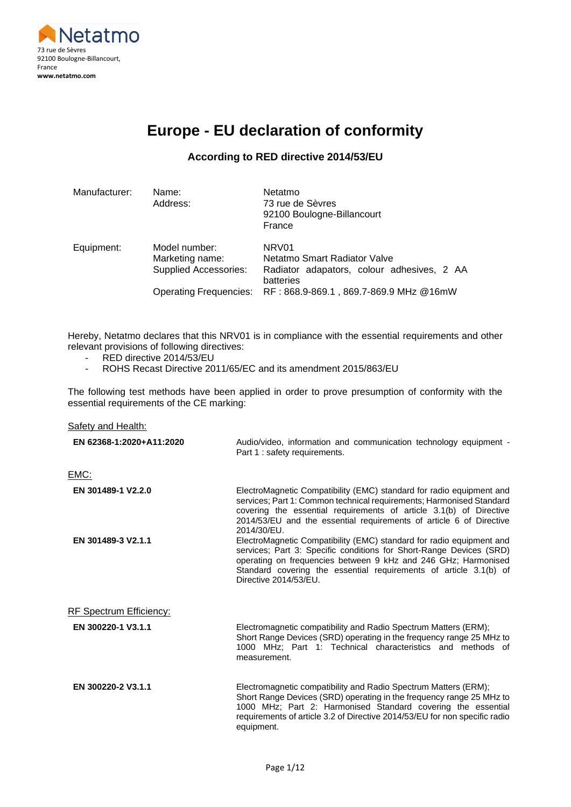

# **Europe - EU declaration of conformity**

## **According to RED directive 2014/53/EU**

| Manufacturer: | Name:<br>Address:                                                | Netatmo<br>73 rue de Sèvres<br>92100 Boulogne-Billancourt<br>France                                          |
|---------------|------------------------------------------------------------------|--------------------------------------------------------------------------------------------------------------|
| Equipment:    | Model number:<br>Marketing name:<br><b>Supplied Accessories:</b> | NRV <sub>01</sub><br>Netatmo Smart Radiator Valve<br>Radiator adapators, colour adhesives, 2 AA<br>batteries |
|               | <b>Operating Frequencies:</b>                                    | RF: 868.9-869.1, 869.7-869.9 MHz @16mW                                                                       |

Hereby, Netatmo declares that this NRV01 is in compliance with the essential requirements and other relevant provisions of following directives:

- RED directive 2014/53/EU
- ROHS Recast Directive 2011/65/EC and its amendment 2015/863/EU

The following test methods have been applied in order to prove presumption of conformity with the essential requirements of the CE marking:

| Safety and Health:             |                                                                                                                                                                                                                                                                                                             |
|--------------------------------|-------------------------------------------------------------------------------------------------------------------------------------------------------------------------------------------------------------------------------------------------------------------------------------------------------------|
| EN 62368-1:2020+A11:2020       | Audio/video, information and communication technology equipment -<br>Part 1 : safety requirements.                                                                                                                                                                                                          |
| EMC:                           |                                                                                                                                                                                                                                                                                                             |
| EN 301489-1 V2.2.0             | ElectroMagnetic Compatibility (EMC) standard for radio equipment and<br>services; Part 1: Common technical requirements; Harmonised Standard<br>covering the essential requirements of article 3.1(b) of Directive<br>2014/53/EU and the essential requirements of article 6 of Directive<br>2014/30/EU.    |
| EN 301489-3 V2.1.1             | ElectroMagnetic Compatibility (EMC) standard for radio equipment and<br>services; Part 3: Specific conditions for Short-Range Devices (SRD)<br>operating on frequencies between 9 kHz and 246 GHz; Harmonised<br>Standard covering the essential requirements of article 3.1(b) of<br>Directive 2014/53/EU. |
| <b>RF Spectrum Efficiency:</b> |                                                                                                                                                                                                                                                                                                             |
| EN 300220-1 V3.1.1             | Electromagnetic compatibility and Radio Spectrum Matters (ERM);<br>Short Range Devices (SRD) operating in the frequency range 25 MHz to<br>1000 MHz: Part 1: Technical characteristics and methods of<br>measurement.                                                                                       |
| EN 300220-2 V3.1.1             | Electromagnetic compatibility and Radio Spectrum Matters (ERM);<br>Short Range Devices (SRD) operating in the frequency range 25 MHz to<br>1000 MHz; Part 2: Harmonised Standard covering the essential<br>requirements of article 3.2 of Directive 2014/53/EU for non specific radio<br>equipment.         |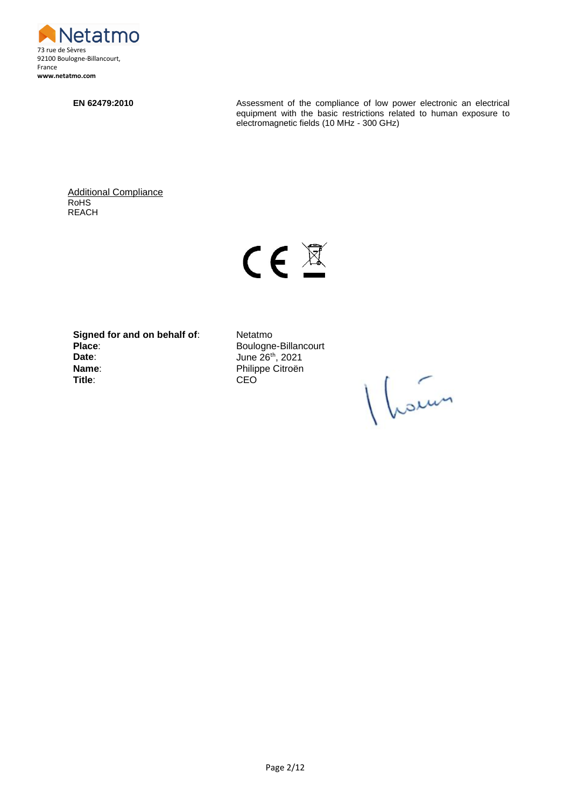

**EN 62479:2010** Assessment of the compliance of low power electronic an electrical equipment with the basic restrictions related to human exposure to electromagnetic fields (10 MHz - 300 GHz)

Additional Compliance RoHS REACH



**Signed for and on behalf of:** Netatmo<br>Place: Boulogne **Date**: **Date**: **June 26<sup>th</sup>, 2021 Name:** Philippe Citroën **Title**: CEO

**Place**: Boulogne-Billancourt

1 hours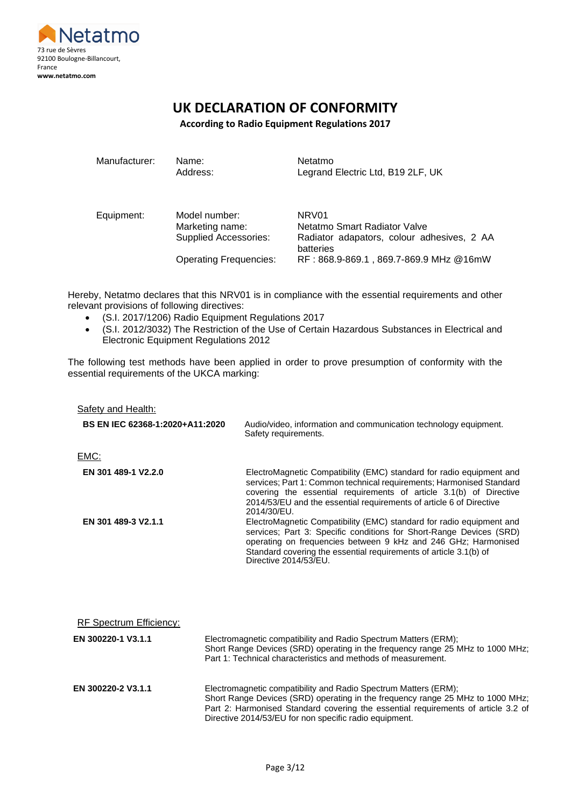

# **UK DECLARATION OF CONFORMITY**

**According to Radio Equipment Regulations 2017**

| Manufacturer: | Name:<br>Address:                | Netatmo<br>Legrand Electric Ltd, B19 2LF, UK            |
|---------------|----------------------------------|---------------------------------------------------------|
| Equipment:    | Model number:<br>Marketing name: | NRV01<br>Netatmo Smart Radiator Valve                   |
|               | <b>Supplied Accessories:</b>     | Radiator adapators, colour adhesives, 2 AA<br>batteries |
|               | <b>Operating Frequencies:</b>    | RF: 868.9-869.1, 869.7-869.9 MHz @16mW                  |

Hereby, Netatmo declares that this NRV01 is in compliance with the essential requirements and other relevant provisions of following directives:

- (S.I. 2017/1206) Radio Equipment Regulations 2017
- (S.I. 2012/3032) The Restriction of the Use of Certain Hazardous Substances in Electrical and Electronic Equipment Regulations 2012

The following test methods have been applied in order to prove presumption of conformity with the essential requirements of the UKCA marking:

| <b>Safety and Health:</b>       |                                                                                                                                                                                                                                                                                                             |
|---------------------------------|-------------------------------------------------------------------------------------------------------------------------------------------------------------------------------------------------------------------------------------------------------------------------------------------------------------|
| BS EN IEC 62368-1:2020+A11:2020 | Audio/video, information and communication technology equipment.<br>Safety requirements.                                                                                                                                                                                                                    |
| EMC:                            |                                                                                                                                                                                                                                                                                                             |
| EN 301 489-1 V2.2.0             | ElectroMagnetic Compatibility (EMC) standard for radio equipment and<br>services; Part 1: Common technical requirements; Harmonised Standard<br>covering the essential requirements of article 3.1(b) of Directive<br>2014/53/EU and the essential requirements of article 6 of Directive<br>2014/30/EU.    |
| EN 301 489-3 V2.1.1             | ElectroMagnetic Compatibility (EMC) standard for radio equipment and<br>services; Part 3: Specific conditions for Short-Range Devices (SRD)<br>operating on frequencies between 9 kHz and 246 GHz; Harmonised<br>Standard covering the essential requirements of article 3.1(b) of<br>Directive 2014/53/EU. |
| <b>RF Spectrum Efficiency:</b>  |                                                                                                                                                                                                                                                                                                             |
| EN 300220-1 V3.1.1              | Electromagnetic compatibility and Radio Spectrum Matters (ERM);<br>Short Range Devices (SRD) operating in the frequency range 25 MHz to 1000 MHz;<br>Part 1: Technical characteristics and methods of measurement.                                                                                          |
| EN 300220-2 V3.1.1              | Electromagnetic compatibility and Radio Spectrum Matters (ERM);<br>Short Range Devices (SRD) operating in the frequency range 25 MHz to 1000 MHz;<br>Part 2: Harmonised Standard covering the essential requirements of article 3.2 of<br>Directive 2014/53/EU for non specific radio equipment.            |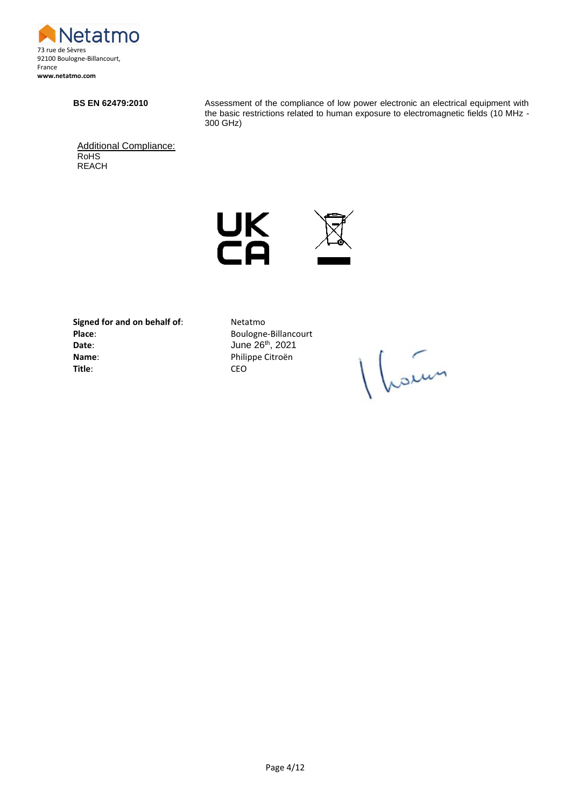

**BS EN 62479:2010** Assessment of the compliance of low power electronic an electrical equipment with the basic restrictions related to human exposure to electromagnetic fields (10 MHz - 300 GHz)

Additional Compliance: RoHS REACH



**Signed for and on behalf of:** Netatmo Place: Boulogne-Billancourt<br>
Date: June 26<sup>th</sup>, 2021 **Name**: Philippe Citroën **Title**: CEO

**Date**: June 26th, 2021

Vleden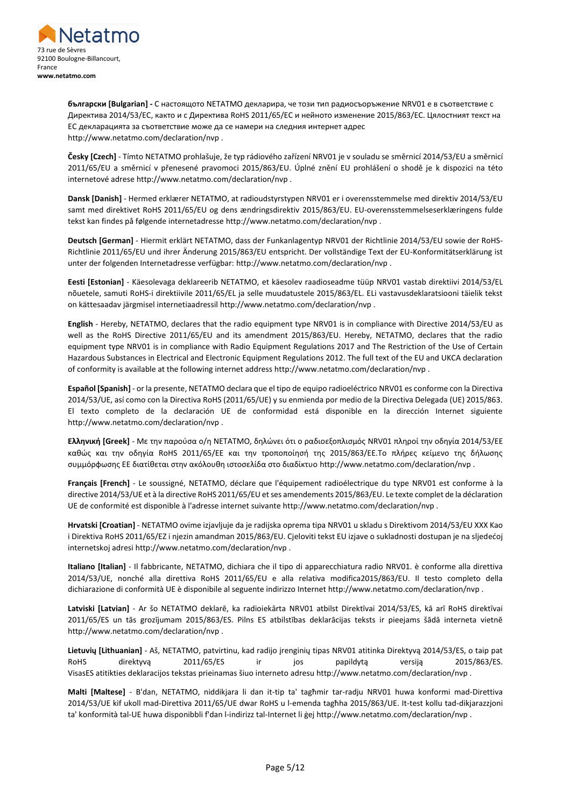

**български [Bulgarian] -** С настоящото NETATMO декларира, че този тип радиосъоръжение NRV01 е в съответствие с Директива 2014/53/ЕС, както и с Директива RoHS 2011/65/ЕС и нейното изменение 2015/863/ЕС. Цялостният текст на ЕС декларацията за съответствие може да се намери на следния интернет адрес http://www.netatmo.com/declaration/nvp .

**Česky [Czech]** - Tímto NETATMO prohlašuje, že typ rádiového zařízení NRV01 je v souladu se směrnicí 2014/53/EU a směrnicí 2011/65/EU a směrnicí v přenesené pravomoci 2015/863/EU. Úplné znění EU prohlášení o shodě je k dispozici na této internetové adrese http://www.netatmo.com/declaration/nvp .

**Dansk [Danish]** - Hermed erklærer NETATMO, at radioudstyrstypen NRV01 er i overensstemmelse med direktiv 2014/53/EU samt med direktivet RoHS 2011/65/EU og dens ændringsdirektiv 2015/863/EU. EU-overensstemmelseserklæringens fulde tekst kan findes på følgende internetadresse http://www.netatmo.com/declaration/nvp .

**Deutsch [German]** - Hiermit erklärt NETATMO, dass der Funkanlagentyp NRV01 der Richtlinie 2014/53/EU sowie der RoHS-Richtlinie 2011/65/EU und ihrer Änderung 2015/863/EU entspricht. Der vollständige Text der EU-Konformitätserklärung ist unter der folgenden Internetadresse verfügbar: http://www.netatmo.com/declaration/nvp .

**Eesti [Estonian]** - Käesolevaga deklareerib NETATMO, et käesolev raadioseadme tüüp NRV01 vastab direktiivi 2014/53/EL nõuetele, samuti RoHS-i direktiivile 2011/65/EL ja selle muudatustele 2015/863/EL. ELi vastavusdeklaratsiooni täielik tekst on kättesaadav järgmisel internetiaadressil http://www.netatmo.com/declaration/nvp .

**English** - Hereby, NETATMO, declares that the radio equipment type NRV01 is in compliance with Directive 2014/53/EU as well as the RoHS Directive 2011/65/EU and its amendment 2015/863/EU. Hereby, NETATMO, declares that the radio equipment type NRV01 is in compliance with Radio Equipment Regulations 2017 and The Restriction of the Use of Certain Hazardous Substances in Electrical and Electronic Equipment Regulations 2012. The full text of the EU and UKCA declaration of conformity is available at the following internet address http://www.netatmo.com/declaration/nvp .

**Español [Spanish]** - or la presente, NETATMO declara que el tipo de equipo radioeléctrico NRV01 es conforme con la Directiva 2014/53/UE, así como con la Directiva RoHS (2011/65/UE) y su enmienda por medio de la Directiva Delegada (UE) 2015/863. El texto completo de la declaración UE de conformidad está disponible en la dirección Internet siguiente http://www.netatmo.com/declaration/nvp .

**Ελληνική [Greek]** - Με την παρούσα ο/η NETATMO, δηλώνει ότι ο ραδιοεξοπλισμός NRV01 πληροί την οδηγία 2014/53/ΕΕ καθώς και την οδηγία RoHS 2011/65/EΕ και την τροποποίησή της 2015/863/EΕ.Το πλήρες κείμενο της δήλωσης συμμόρφωσης ΕΕ διατίθεται στην ακόλουθη ιστοσελίδα στο διαδίκτυο http://www.netatmo.com/declaration/nvp .

**Français [French]** - Le soussigné, NETATMO, déclare que l'équipement radioélectrique du type NRV01 est conforme à la directive 2014/53/UE et à la directive RoHS 2011/65/EU et ses amendements 2015/863/EU. Le texte complet de la déclaration UE de conformité est disponible à l'adresse internet suivante http://www.netatmo.com/declaration/nvp .

**Hrvatski [Croatian]** - NETATMO ovime izjavljuje da je radijska oprema tipa NRV01 u skladu s Direktivom 2014/53/EU XXX Kao i Direktiva RoHS 2011/65/EZ i njezin amandman 2015/863/EU. Cjeloviti tekst EU izjave o sukladnosti dostupan je na sljedećoj internetskoj adresi http://www.netatmo.com/declaration/nvp .

**Italiano [Italian]** - Il fabbricante, NETATMO, dichiara che il tipo di apparecchiatura radio NRV01. è conforme alla direttiva 2014/53/UE, nonché alla direttiva RoHS 2011/65/EU e alla relativa modifica2015/863/EU. Il testo completo della dichiarazione di conformità UE è disponibile al seguente indirizzo Internet http://www.netatmo.com/declaration/nvp .

**Latviski [Latvian]** - Ar šo NETATMO deklarē, ka radioiekārta NRV01 atbilst Direktīvai 2014/53/ES, kā arī RoHS direktīvai 2011/65/ES un tās grozījumam 2015/863/ES. Pilns ES atbilstības deklarācijas teksts ir pieejams šādā interneta vietnē http://www.netatmo.com/declaration/nvp .

**Lietuvių [Lithuanian]** - Aš, NETATMO, patvirtinu, kad radijo įrenginių tipas NRV01 atitinka Direktyvą 2014/53/ES, o taip pat RoHS direktyvą 2011/65/ES ir jos papildytą versiją 2015/863/ES. VisasES atitikties deklaracijos tekstas prieinamas šiuo interneto adresu http://www.netatmo.com/declaration/nvp .

**Malti [Maltese]** - B'dan, NETATMO, niddikjara li dan it-tip ta' tagħmir tar-radju NRV01 huwa konformi mad-Direttiva 2014/53/UE kif ukoll mad-Direttiva 2011/65/UE dwar RoHS u l-emenda tagħha 2015/863/UE. It-test kollu tad-dikjarazzjoni ta' konformità tal-UE huwa disponibbli f'dan l-indirizz tal-Internet li ġej http://www.netatmo.com/declaration/nvp .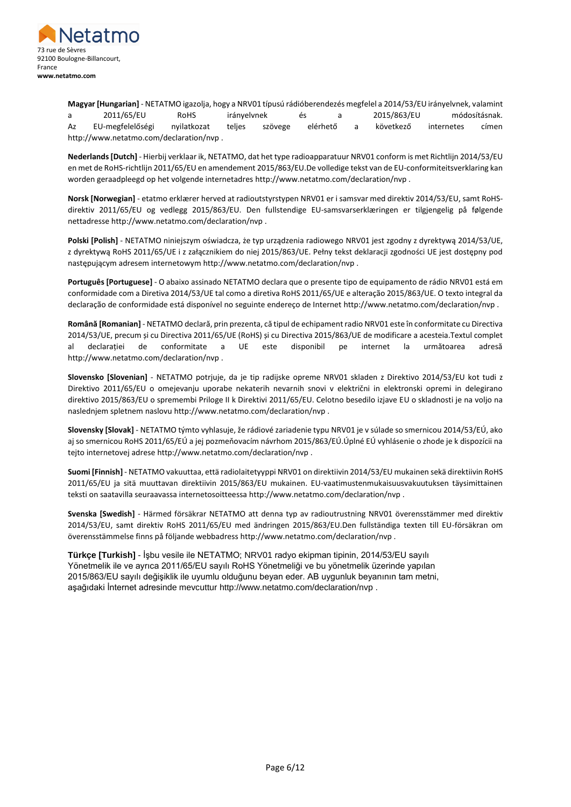

**Magyar [Hungarian]** - NETATMO igazolja, hogy a NRV01 típusú rádióberendezés megfelel a 2014/53/EU irányelvnek, valamint a 2011/65/EU RoHS irányelvnek és a 2015/863/EU módosításnak. Az EU-megfelelőségi nyilatkozat teljes szövege elérhető a következő internetes címen http://www.netatmo.com/declaration/nvp .

**Nederlands [Dutch]** - Hierbij verklaar ik, NETATMO, dat het type radioapparatuur NRV01 conform is met Richtlijn 2014/53/EU en met de RoHS-richtlijn 2011/65/EU en amendement 2015/863/EU.De volledige tekst van de EU-conformiteitsverklaring kan worden geraadpleegd op het volgende internetadres http://www.netatmo.com/declaration/nvp .

**Norsk [Norwegian]** - etatmo erklærer herved at radioutstyrstypen NRV01 er i samsvar med direktiv 2014/53/EU, samt RoHSdirektiv 2011/65/EU og vedlegg 2015/863/EU. Den fullstendige EU-samsvarserklæringen er tilgjengelig på følgende nettadresse http://www.netatmo.com/declaration/nvp .

**Polski [Polish]** - NETATMO niniejszym oświadcza, że typ urządzenia radiowego NRV01 jest zgodny z dyrektywą 2014/53/UE, z dyrektywą RoHS 2011/65/UE i z załącznikiem do niej 2015/863/UE. Pełny tekst deklaracji zgodności UE jest dostępny pod następującym adresem internetowym http://www.netatmo.com/declaration/nvp .

**Português [Portuguese]** - O abaixo assinado NETATMO declara que o presente tipo de equipamento de rádio NRV01 está em conformidade com a Diretiva 2014/53/UE tal como a diretiva RoHS 2011/65/UE e alteração 2015/863/UE. O texto integral da declaração de conformidade está disponível no seguinte endereço de Internet http://www.netatmo.com/declaration/nvp .

**Română [Romanian]** - NETATMO declară, prin prezenta, că tipul de echipament radio NRV01 este în conformitate cu Directiva 2014/53/UE, precum și cu Directiva 2011/65/UE (RoHS) și cu Directiva 2015/863/UE de modificare a acesteia.Textul complet al declarației de conformitate a UE este disponibil pe internet la următoarea adresă http://www.netatmo.com/declaration/nvp .

**Slovensko [Slovenian]** - NETATMO potrjuje, da je tip radijske opreme NRV01 skladen z Direktivo 2014/53/EU kot tudi z Direktivo 2011/65/EU o omejevanju uporabe nekaterih nevarnih snovi v električni in elektronski opremi in delegirano direktivo 2015/863/EU o spremembi Priloge II k Direktivi 2011/65/EU. Celotno besedilo izjave EU o skladnosti je na voljo na naslednjem spletnem naslovu http://www.netatmo.com/declaration/nvp .

**Slovensky [Slovak]** - NETATMO týmto vyhlasuje, že rádiové zariadenie typu NRV01 je v súlade so smernicou 2014/53/EÚ, ako aj so smernicou RoHS 2011/65/EÚ a jej pozmeňovacím návrhom 2015/863/EÚ.Úplné EÚ vyhlásenie o zhode je k dispozícii na tejto internetovej adrese http://www.netatmo.com/declaration/nvp .

**Suomi [Finnish]** - NETATMO vakuuttaa, että radiolaitetyyppi NRV01 on direktiivin 2014/53/EU mukainen sekä direktiivin RoHS 2011/65/EU ja sitä muuttavan direktiivin 2015/863/EU mukainen. EU-vaatimustenmukaisuusvakuutuksen täysimittainen teksti on saatavilla seuraavassa internetosoitteessa http://www.netatmo.com/declaration/nvp .

**Svenska [Swedish]** - Härmed försäkrar NETATMO att denna typ av radioutrustning NRV01 överensstämmer med direktiv 2014/53/EU, samt direktiv RoHS 2011/65/EU med ändringen 2015/863/EU.Den fullständiga texten till EU-försäkran om överensstämmelse finns på följande webbadress http://www.netatmo.com/declaration/nvp .

**Türkçe [Turkish]** - İşbu vesile ile NETATMO; NRV01 radyo ekipman tipinin, 2014/53/EU sayılı Yönetmelik ile ve ayrıca 2011/65/EU sayılı RoHS Yönetmeliği ve bu yönetmelik üzerinde yapılan 2015/863/EU sayılı değişiklik ile uyumlu olduğunu beyan eder. AB uygunluk beyanının tam metni, aşağıdaki İnternet adresinde mevcuttur http://www.netatmo.com/declaration/nvp .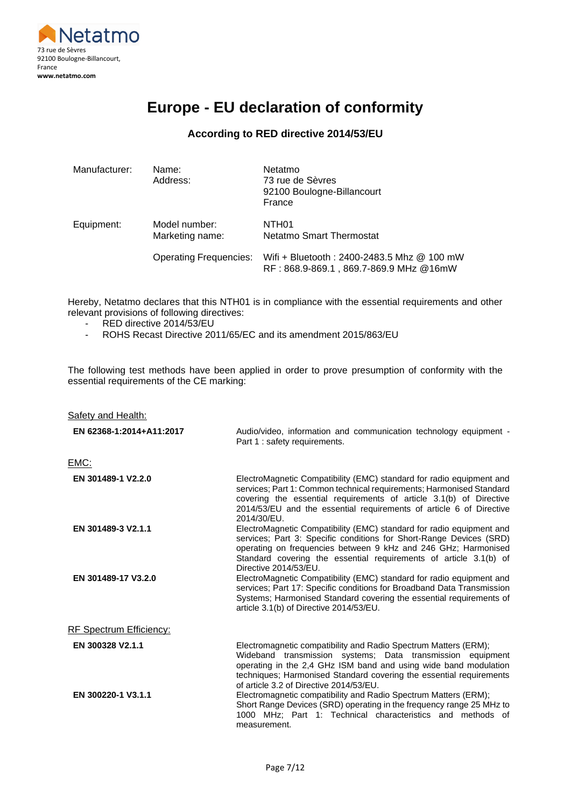

# **Europe - EU declaration of conformity**

### **According to RED directive 2014/53/EU**

| Manufacturer: | Name:<br>Address:                | Netatmo<br>73 rue de Sèvres<br>92100 Boulogne-Billancourt<br>France                  |
|---------------|----------------------------------|--------------------------------------------------------------------------------------|
| Equipment:    | Model number:<br>Marketing name: | NTH <sub>01</sub><br>Netatmo Smart Thermostat                                        |
|               | <b>Operating Frequencies:</b>    | Wifi + Bluetooth: 2400-2483.5 Mhz @ 100 mW<br>RF: 868.9-869.1, 869.7-869.9 MHz @16mW |

Hereby, Netatmo declares that this NTH01 is in compliance with the essential requirements and other relevant provisions of following directives:

- RED directive 2014/53/EU
- ROHS Recast Directive 2011/65/EC and its amendment 2015/863/EU

The following test methods have been applied in order to prove presumption of conformity with the essential requirements of the CE marking:

| Safety and Health:       |                                                                                                                                                                                                                                                                                                                     |
|--------------------------|---------------------------------------------------------------------------------------------------------------------------------------------------------------------------------------------------------------------------------------------------------------------------------------------------------------------|
| EN 62368-1:2014+A11:2017 | Audio/video, information and communication technology equipment -<br>Part 1 : safety requirements.                                                                                                                                                                                                                  |
| EMC:                     |                                                                                                                                                                                                                                                                                                                     |
| EN 301489-1 V2.2.0       | ElectroMagnetic Compatibility (EMC) standard for radio equipment and<br>services; Part 1: Common technical requirements; Harmonised Standard<br>covering the essential requirements of article 3.1(b) of Directive<br>2014/53/EU and the essential requirements of article 6 of Directive<br>2014/30/EU.            |
| EN 301489-3 V2.1.1       | ElectroMagnetic Compatibility (EMC) standard for radio equipment and<br>services; Part 3: Specific conditions for Short-Range Devices (SRD)<br>operating on frequencies between 9 kHz and 246 GHz; Harmonised<br>Standard covering the essential requirements of article 3.1(b) of<br>Directive 2014/53/EU.         |
| EN 301489-17 V3.2.0      | ElectroMagnetic Compatibility (EMC) standard for radio equipment and<br>services; Part 17: Specific conditions for Broadband Data Transmission<br>Systems; Harmonised Standard covering the essential requirements of<br>article 3.1(b) of Directive 2014/53/EU.                                                    |
| RF Spectrum Efficiency:  |                                                                                                                                                                                                                                                                                                                     |
| EN 300328 V2.1.1         | Electromagnetic compatibility and Radio Spectrum Matters (ERM);<br>Wideband transmission systems; Data transmission equipment<br>operating in the 2,4 GHz ISM band and using wide band modulation<br>techniques; Harmonised Standard covering the essential requirements<br>of article 3.2 of Directive 2014/53/EU. |
| EN 300220-1 V3.1.1       | Electromagnetic compatibility and Radio Spectrum Matters (ERM);<br>Short Range Devices (SRD) operating in the frequency range 25 MHz to<br>1000 MHz: Part 1: Technical characteristics and methods of<br>measurement.                                                                                               |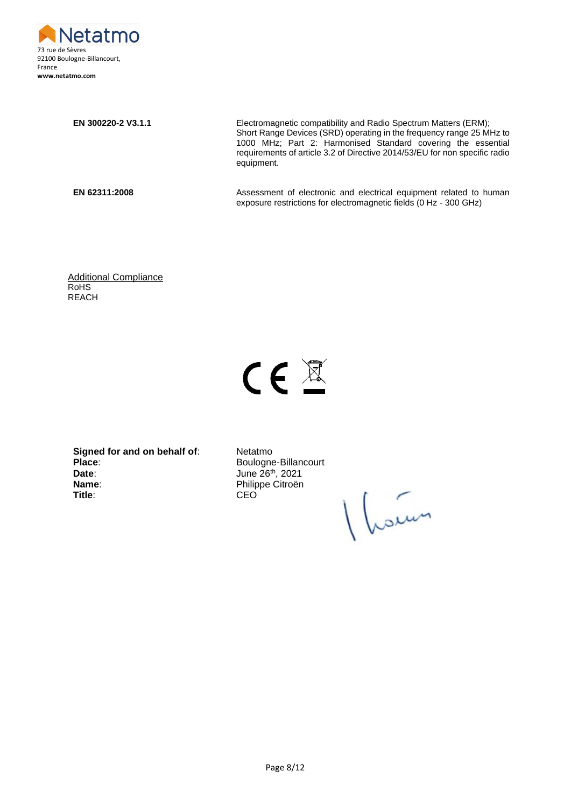

**EN 300220-2 V3.1.1** Electromagnetic compatibility and Radio Spectrum Matters (ERM); Short Range Devices (SRD) operating in the frequency range 25 MHz to 1000 MHz; Part 2: Harmonised Standard covering the essential requirements of article 3.2 of Directive 2014/53/EU for non specific radio equipment.

**EN 62311:2008** Assessment of electronic and electrical equipment related to human exposure restrictions for electromagnetic fields (0 Hz - 300 GHz)

Additional Compliance RoHS REACH

# $CE \nsubseteq$

**Signed for and on behalf of:** Netatmo Place: Boulogne-Billancourt **Date**: June 26<sup>th</sup>, 2021 **Name:** Philippe Citroën **Title**: CEO

Vain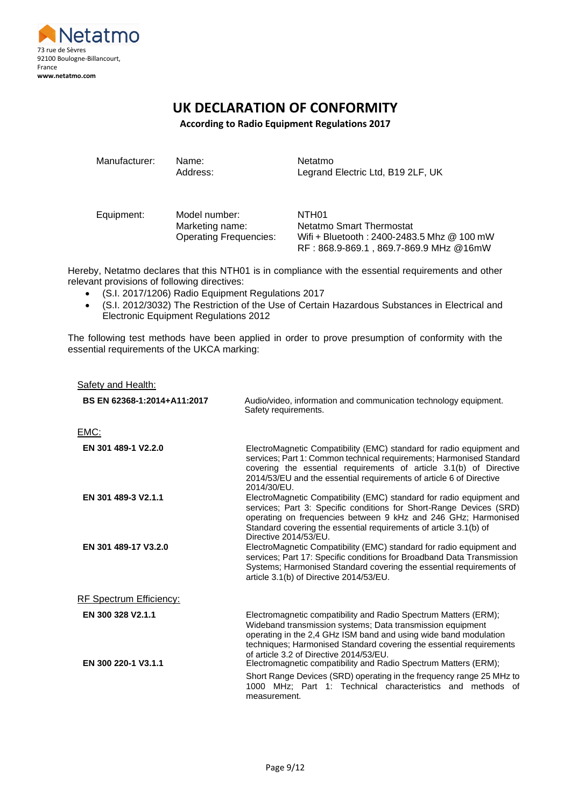

# **UK DECLARATION OF CONFORMITY**

**According to Radio Equipment Regulations 2017**

Manufacturer: Name: Netatmo

Address: Legrand Electric Ltd, B19 2LF, UK

Equipment: Model number: NTH01

Marketing name: Netatmo Smart Thermostat Operating Frequencies: Wifi + Bluetooth : 2400-2483.5 Mhz @ 100 mW RF : 868.9-869.1 , 869.7-869.9 MHz @16mW

Hereby, Netatmo declares that this NTH01 is in compliance with the essential requirements and other relevant provisions of following directives:

- (S.I. 2017/1206) Radio Equipment Regulations 2017
- (S.I. 2012/3032) The Restriction of the Use of Certain Hazardous Substances in Electrical and Electronic Equipment Regulations 2012

The following test methods have been applied in order to prove presumption of conformity with the essential requirements of the UKCA marking:

Safety and Health:

| BS EN 62368-1:2014+A11:2017              | Audio/video, information and communication technology equipment.<br>Safety requirements.                                                                                                                                                                                                                                                                                                                                                                                                                                                     |
|------------------------------------------|----------------------------------------------------------------------------------------------------------------------------------------------------------------------------------------------------------------------------------------------------------------------------------------------------------------------------------------------------------------------------------------------------------------------------------------------------------------------------------------------------------------------------------------------|
| <u>EMC:</u>                              |                                                                                                                                                                                                                                                                                                                                                                                                                                                                                                                                              |
| EN 301 489-1 V2.2.0                      | ElectroMagnetic Compatibility (EMC) standard for radio equipment and<br>services; Part 1: Common technical requirements; Harmonised Standard<br>covering the essential requirements of article 3.1(b) of Directive<br>2014/53/EU and the essential requirements of article 6 of Directive<br>2014/30/EU.                                                                                                                                                                                                                                     |
| EN 301 489-3 V2.1.1                      | ElectroMagnetic Compatibility (EMC) standard for radio equipment and<br>services; Part 3: Specific conditions for Short-Range Devices (SRD)<br>operating on frequencies between 9 kHz and 246 GHz; Harmonised<br>Standard covering the essential requirements of article 3.1(b) of<br>Directive 2014/53/EU.                                                                                                                                                                                                                                  |
| EN 301 489-17 V3.2.0                     | ElectroMagnetic Compatibility (EMC) standard for radio equipment and<br>services; Part 17: Specific conditions for Broadband Data Transmission<br>Systems; Harmonised Standard covering the essential requirements of<br>article 3.1(b) of Directive 2014/53/EU.                                                                                                                                                                                                                                                                             |
| <b>RF Spectrum Efficiency:</b>           |                                                                                                                                                                                                                                                                                                                                                                                                                                                                                                                                              |
| EN 300 328 V2.1.1<br>EN 300 220-1 V3.1.1 | Electromagnetic compatibility and Radio Spectrum Matters (ERM);<br>Wideband transmission systems; Data transmission equipment<br>operating in the 2,4 GHz ISM band and using wide band modulation<br>techniques; Harmonised Standard covering the essential requirements<br>of article 3.2 of Directive 2014/53/EU.<br>Electromagnetic compatibility and Radio Spectrum Matters (ERM);<br>Short Range Devices (SRD) operating in the frequency range 25 MHz to<br>1000 MHz: Part 1: Technical characteristics and methods of<br>measurement. |
|                                          |                                                                                                                                                                                                                                                                                                                                                                                                                                                                                                                                              |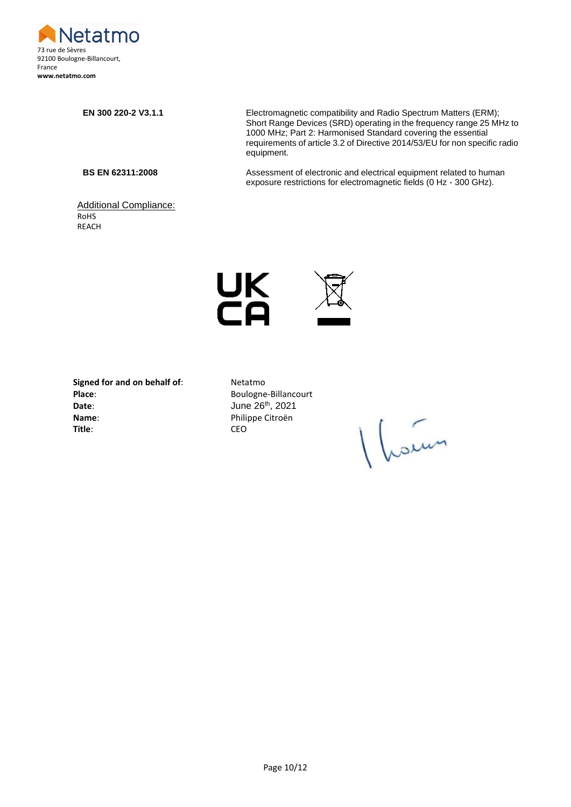

#### Additional Compliance: RoHS REACH

**EN 300 220-2 V3.1.1** Electromagnetic compatibility and Radio Spectrum Matters (ERM); Short Range Devices (SRD) operating in the frequency range 25 MHz to 1000 MHz; Part 2: Harmonised Standard covering the essential requirements of article 3.2 of Directive 2014/53/EU for non specific radio equipment.

**BS EN 62311:2008** Assessment of electronic and electrical equipment related to human exposure restrictions for electromagnetic fields (0 Hz - 300 GHz).



**Signed for and on behalf of:** Netatmo<br> **Place:** Boulogne **Date**: **Date**: **June 26<sup>th</sup>, 2021 Name**: Philippe Citroën **Title**: CEO

**Place**: Boulogne-Billancourt

Vain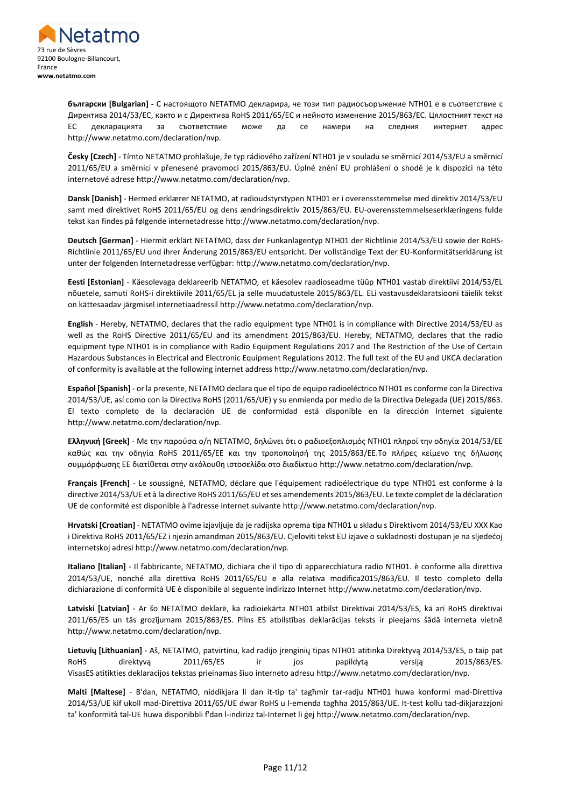

**български [Bulgarian] -** С настоящото NETATMO декларира, че този тип радиосъоръжение NTH01 е в съответствие с Директива 2014/53/ЕС, както и с Директива RoHS 2011/65/ЕС и нейното изменение 2015/863/ЕС. Цялостният текст на ЕС декларацията за съответствие може да се намери на следния интернет адрес http://www.netatmo.com/declaration/nvp.

**Česky [Czech]** - Tímto NETATMO prohlašuje, že typ rádiového zařízení NTH01 je v souladu se směrnicí 2014/53/EU a směrnicí 2011/65/EU a směrnicí v přenesené pravomoci 2015/863/EU. Úplné znění EU prohlášení o shodě je k dispozici na této internetové adrese http://www.netatmo.com/declaration/nvp.

**Dansk [Danish]** - Hermed erklærer NETATMO, at radioudstyrstypen NTH01 er i overensstemmelse med direktiv 2014/53/EU samt med direktivet RoHS 2011/65/EU og dens ændringsdirektiv 2015/863/EU. EU-overensstemmelseserklæringens fulde tekst kan findes på følgende internetadresse http://www.netatmo.com/declaration/nvp.

**Deutsch [German]** - Hiermit erklärt NETATMO, dass der Funkanlagentyp NTH01 der Richtlinie 2014/53/EU sowie der RoHS-Richtlinie 2011/65/EU und ihrer Änderung 2015/863/EU entspricht. Der vollständige Text der EU-Konformitätserklärung ist unter der folgenden Internetadresse verfügbar: http://www.netatmo.com/declaration/nvp.

**Eesti [Estonian]** - Käesolevaga deklareerib NETATMO, et käesolev raadioseadme tüüp NTH01 vastab direktiivi 2014/53/EL nõuetele, samuti RoHS-i direktiivile 2011/65/EL ja selle muudatustele 2015/863/EL. ELi vastavusdeklaratsiooni täielik tekst on kättesaadav järgmisel internetiaadressil http://www.netatmo.com/declaration/nvp.

**English** - Hereby, NETATMO, declares that the radio equipment type NTH01 is in compliance with Directive 2014/53/EU as well as the RoHS Directive 2011/65/EU and its amendment 2015/863/EU. Hereby, NETATMO, declares that the radio equipment type NTH01 is in compliance with Radio Equipment Regulations 2017 and The Restriction of the Use of Certain Hazardous Substances in Electrical and Electronic Equipment Regulations 2012. The full text of the EU and UKCA declaration of conformity is available at the following internet address http://www.netatmo.com/declaration/nvp.

**Español [Spanish]** - or la presente, NETATMO declara que el tipo de equipo radioeléctrico NTH01 es conforme con la Directiva 2014/53/UE, así como con la Directiva RoHS (2011/65/UE) y su enmienda por medio de la Directiva Delegada (UE) 2015/863. El texto completo de la declaración UE de conformidad está disponible en la dirección Internet siguiente http://www.netatmo.com/declaration/nvp.

**Ελληνική [Greek]** - Με την παρούσα ο/η NETATMO, δηλώνει ότι ο ραδιοεξοπλισμός NTH01 πληροί την οδηγία 2014/53/ΕΕ καθώς και την οδηγία RoHS 2011/65/EΕ και την τροποποίησή της 2015/863/EΕ.Το πλήρες κείμενο της δήλωσης συμμόρφωσης ΕΕ διατίθεται στην ακόλουθη ιστοσελίδα στο διαδίκτυο http://www.netatmo.com/declaration/nvp.

**Français [French]** - Le soussigné, NETATMO, déclare que l'équipement radioélectrique du type NTH01 est conforme à la directive 2014/53/UE et à la directive RoHS 2011/65/EU et ses amendements 2015/863/EU. Le texte complet de la déclaration UE de conformité est disponible à l'adresse internet suivante http://www.netatmo.com/declaration/nvp.

**Hrvatski [Croatian]** - NETATMO ovime izjavljuje da je radijska oprema tipa NTH01 u skladu s Direktivom 2014/53/EU XXX Kao i Direktiva RoHS 2011/65/EZ i njezin amandman 2015/863/EU. Cjeloviti tekst EU izjave o sukladnosti dostupan je na sljedećoj internetskoj adresi http://www.netatmo.com/declaration/nvp.

**Italiano [Italian]** - Il fabbricante, NETATMO, dichiara che il tipo di apparecchiatura radio NTH01. è conforme alla direttiva 2014/53/UE, nonché alla direttiva RoHS 2011/65/EU e alla relativa modifica2015/863/EU. Il testo completo della dichiarazione di conformità UE è disponibile al seguente indirizzo Internet http://www.netatmo.com/declaration/nvp.

**Latviski [Latvian]** - Ar šo NETATMO deklarē, ka radioiekārta NTH01 atbilst Direktīvai 2014/53/ES, kā arī RoHS direktīvai 2011/65/ES un tās grozījumam 2015/863/ES. Pilns ES atbilstības deklarācijas teksts ir pieejams šādā interneta vietnē http://www.netatmo.com/declaration/nvp.

**Lietuvių [Lithuanian]** - Aš, NETATMO, patvirtinu, kad radijo įrenginių tipas NTH01 atitinka Direktyvą 2014/53/ES, o taip pat RoHS direktyvą 2011/65/ES ir jos papildytą versiją 2015/863/ES. VisasES atitikties deklaracijos tekstas prieinamas šiuo interneto adresu http://www.netatmo.com/declaration/nvp.

**Malti [Maltese]** - B'dan, NETATMO, niddikjara li dan it-tip ta' tagħmir tar-radju NTH01 huwa konformi mad-Direttiva 2014/53/UE kif ukoll mad-Direttiva 2011/65/UE dwar RoHS u l-emenda tagħha 2015/863/UE. It-test kollu tad-dikjarazzjoni ta' konformità tal-UE huwa disponibbli f'dan l-indirizz tal-Internet li ġej http://www.netatmo.com/declaration/nvp.